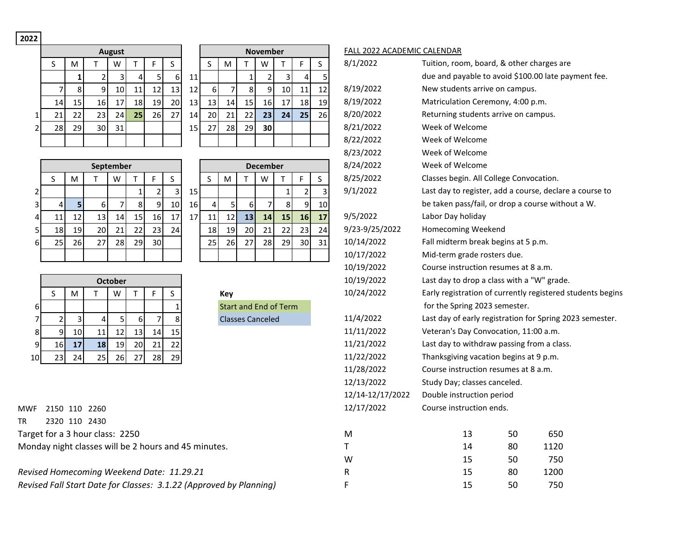## **2022**

|    |     |                 | <b>August</b> |                 |    |    |                 | <b>November</b> |                 |    |                |    | <b>FALL 2022</b> |    |          |
|----|-----|-----------------|---------------|-----------------|----|----|-----------------|-----------------|-----------------|----|----------------|----|------------------|----|----------|
|    | M   |                 | W             |                 |    | S  |                 |                 | M               |    | W              |    | F                | S  | 8/1/2022 |
|    |     |                 |               |                 |    | 6  | 11              |                 |                 |    |                |    |                  |    |          |
|    | 8   | 9               | 10I           | 11 <sub>1</sub> | 12 | 13 | 12              | 6               |                 | 8  | 9 <sub>1</sub> | 10 | 11               | 12 | 8/19/202 |
| 14 | 15  | 16 <sup> </sup> | 171           | 18 <sub>l</sub> | 19 | 20 | 13 <sub>l</sub> | 13 <sub>1</sub> | 14 <sub>1</sub> | 15 | 16             | 17 | 18               | 19 | 8/19/202 |
| 21 | 221 | 231             | 241           | 25              | 26 |    | 141             | 201             | 21              | 22 | 23             | 24 | 25               | 26 | 8/20/202 |
| 28 | 29  | 30 l            | 31            |                 |    |    | 15              |                 | 28              | 29 | 30             |    |                  |    | 8/21/202 |
|    |     |                 |               |                 |    |    |                 |                 |                 |    |                |    |                  |    | 8/22/202 |

|                | <b>August</b> |    |    |    |    |    |    |    | November |   |
|----------------|---------------|----|----|----|----|----|----|----|----------|---|
|                | W             | т  | F  | S  |    | S  | M  |    | W        |   |
| $\overline{2}$ | 3             | 4  | 5  | 6  | 11 |    |    | 1  | 2        |   |
| 9              | 10            | 11 | 12 | 13 | 12 | 6  |    | 8  | 9        | 1 |
| 16             | 17            | 18 | 19 | 20 | 13 | 13 | 14 | 15 | 16       | 1 |
| 23.            | 24            | 25 | 26 | 27 | 14 | 20 | 21 | 22 | 23       | 2 |
| 30             | 31            |    |    |    | 15 | 27 | 28 | 29 | 30       |   |
|                |               |    |    |    |    |    |    |    |          |   |

|   |    |    |    | September |    |                 |    |    |    | <b>December</b> |    |    |  |
|---|----|----|----|-----------|----|-----------------|----|----|----|-----------------|----|----|--|
|   | S  | M  |    | W         |    | F               | S  |    | S  | M               |    | W  |  |
| 2 |    |    |    |           | 1  |                 | 3  | 15 |    |                 |    |    |  |
| 3 | 4  | 5  | 6  |           | 8  | 9               | 10 | 16 | 4  | 5               | 6  |    |  |
| 4 | 11 | 12 | 13 | 14        | 15 | 16 <sub>1</sub> | 17 | 17 | 11 | 12              | 13 | 14 |  |
| 5 | 18 | 19 | 20 | 21        | 22 | 23              | 24 |    | 18 | 19              | 20 | 21 |  |
| 6 | 25 | 26 | 27 | 28        | 29 | 30              |    |    | 25 | 26              | 27 | 28 |  |
|   |    |    |    |           |    |                 |    |    |    |                 |    |    |  |

| 20 | 21 | 22 | 23       | 24           | 25                      | $\overline{2}$ |
|----|----|----|----------|--------------|-------------------------|----------------|
| 27 | 28 | 29 | 30       |              |                         |                |
|    |    |    |          |              |                         |                |
|    |    |    |          |              |                         |                |
|    |    |    | December |              |                         |                |
| S  | M  | т  | W        |              | F                       | S              |
|    |    |    |          | $\mathbf{1}$ | $\overline{\mathbf{c}}$ |                |
| 4  | 5  | 6  | 7        | 8            | 9                       | 1(             |
| 11 | 12 | 13 | 14       | 15           | 16                      | $\mathbf{1}$   |
| 18 | 19 | 20 | 21       | 22           | 23                      | 2 <sub>1</sub> |
| 25 | 26 | 27 | 28       | 29           | 30                      | $\overline{3}$ |
|    |    |    |          |              |                         |                |

|    |    |    |    | <b>October</b> |    |    |    |
|----|----|----|----|----------------|----|----|----|
|    | S  | M  |    | W              |    | F  | S  |
| 6  |    |    |    |                |    |    | 1  |
| 7  | 2  | 3  | 4  | 5              | 6  |    | 8  |
| 8  | 9  | 10 | 11 | 12             | 13 | 14 | 15 |
| 9  | 16 | 17 | 18 | 19             | 20 | 21 | 22 |
| 10 | 23 | 24 | 25 | 26             | 27 | 28 | 29 |

MWF 2150 110 2260 TR 2320 110 2430

Target for a 3 hour class: 2250

| ίeν |                |  |
|-----|----------------|--|
|     | tart and End o |  |

|                         | S              | ${\sf M}$ | T.                                                 | W              | т                     | F              | S            |    | $\sf S$         | M         | T                            | W               | T  | F.             | S            | 8/1/2022         | Tuition, room, board, & other charges are                  |    |      |  |
|-------------------------|----------------|-----------|----------------------------------------------------|----------------|-----------------------|----------------|--------------|----|-----------------|-----------|------------------------------|-----------------|----|----------------|--------------|------------------|------------------------------------------------------------|----|------|--|
|                         |                | 1         | $\overline{2}$                                     | $\overline{3}$ | $\boldsymbol{\Delta}$ | 5 <sup>1</sup> | 6            | 11 |                 |           | $\overline{1}$               | $\overline{2}$  | 3  | Δ              | 5            |                  | due and payable to avoid \$100.00 late payment fee.        |    |      |  |
|                         | $\overline{7}$ | 8         | 9                                                  | 10             | 11                    | 12             | 13           | 12 | 6               | 7         | 8                            | 9               | 10 | 11             | 12           | 8/19/2022        | New students arrive on campus.                             |    |      |  |
|                         | 14             | 15        | 16                                                 | 17             | 18                    | 19             | 20           | 13 | 13              | 14        | 15                           | 16              | 17 | 18             | 19           | 8/19/2022        | Matriculation Ceremony, 4:00 p.m.                          |    |      |  |
| $\mathbf{1}$            | 21             | 22        | 23                                                 | 24             | 25                    | 26             | 27           | 14 | 20              | 21        | 22                           | 23              | 24 | 25             | 26           | 8/20/2022        | Returning students arrive on campus.                       |    |      |  |
| $\overline{2}$          | 28             | 29        | 30                                                 | 31             |                       |                |              | 15 | 27              | 28        | 29                           | 30              |    |                |              | 8/21/2022        | Week of Welcome                                            |    |      |  |
|                         |                |           |                                                    |                |                       |                |              |    |                 |           |                              |                 |    |                |              | 8/22/2022        | Week of Welcome                                            |    |      |  |
|                         |                |           |                                                    |                |                       |                |              |    |                 |           |                              |                 |    |                |              | 8/23/2022        | Week of Welcome                                            |    |      |  |
|                         |                |           | September                                          |                |                       |                |              |    |                 |           |                              | <b>December</b> |    |                |              | 8/24/2022        | Week of Welcome                                            |    |      |  |
|                         | S              | M         | $\mathsf{T}$                                       | W              | $\mathsf{T}$          | F              | S.           |    | $\sf S$         | ${\sf M}$ | Τ                            | W               | T. | F              | $\mathsf{S}$ | 8/25/2022        | Classes begin. All College Convocation.                    |    |      |  |
| $\overline{\mathbf{c}}$ |                |           |                                                    |                | $\mathbf{1}$          | $\overline{2}$ | 3            | 15 |                 |           |                              |                 | 1  | $\overline{2}$ | 3            | 9/1/2022         | Last day to register, add a course, declare a course to    |    |      |  |
| $\mathbf{3}$            | 4              | 5         | 6                                                  | 7              | 8                     | 9              | 10           | 16 | $\vert 4 \vert$ | 5         | 6                            | 7               | 8  | 9              | 10           |                  | be taken pass/fail, or drop a course without a W.          |    |      |  |
| 4                       | 11             | 12        | 13                                                 | 14             | 15                    | 16             | 17           | 17 | 11              | 12        | 13                           | 14              | 15 | 16             | 17           | 9/5/2022         | Labor Day holiday                                          |    |      |  |
| 5                       | 18             | 19        | 20                                                 | 21             | 22                    | 23             | 24           |    | 18              | 19        | 20                           | 21              | 22 | 23             | 24           | 9/23-9/25/2022   | Homecoming Weekend                                         |    |      |  |
| 6                       | 25             | 26        | 27                                                 | 28             | 29                    | 30             |              |    | 25              | 26        | 27                           | 28              | 29 | 30             | 31           | 10/14/2022       | Fall midterm break begins at 5 p.m.                        |    |      |  |
|                         |                |           |                                                    |                |                       |                |              |    |                 |           |                              |                 |    |                |              | 10/17/2022       | Mid-term grade rosters due.                                |    |      |  |
|                         |                |           |                                                    |                |                       |                |              |    |                 |           |                              |                 |    |                |              | 10/19/2022       | Course instruction resumes at 8 a.m.                       |    |      |  |
|                         |                |           |                                                    | <b>October</b> |                       |                |              |    |                 |           |                              |                 |    |                |              | 10/19/2022       | Last day to drop a class with a "W" grade.                 |    |      |  |
|                         | S              | M         | T.                                                 | W              | т                     | F              | S            |    |                 | Key       |                              |                 |    |                |              | 10/24/2022       | Early registration of currently registered students begins |    |      |  |
| 6                       |                |           |                                                    |                |                       |                | $\mathbf{1}$ |    |                 |           | <b>Start and End of Term</b> |                 |    |                |              |                  | for the Spring 2023 semester.                              |    |      |  |
| $\overline{7}$          | 2              | 3         | 4                                                  | 5              | 6                     | $\overline{7}$ | 8            |    |                 |           | <b>Classes Canceled</b>      |                 |    |                |              | 11/4/2022        | Last day of early registration for Spring 2023 semester.   |    |      |  |
| 8                       | 9              | 10        | $11\,$                                             | 12             | 13                    | 14             | 15           |    |                 |           |                              |                 |    |                |              | 11/11/2022       | Veteran's Day Convocation, 11:00 a.m.                      |    |      |  |
| 9                       | 16             | 17        | 18                                                 | 19             | 20                    | 21             | 22           |    |                 |           |                              |                 |    |                |              | 11/21/2022       | Last day to withdraw passing from a class.                 |    |      |  |
| 10                      | 23             | 24        | 25                                                 | 26             | 27                    | 28             | 29           |    |                 |           |                              |                 |    |                |              | 11/22/2022       | Thanksgiving vacation begins at 9 p.m.                     |    |      |  |
|                         |                |           |                                                    |                |                       |                |              |    |                 |           |                              |                 |    |                |              | 11/28/2022       | Course instruction resumes at 8 a.m.                       |    |      |  |
|                         |                |           |                                                    |                |                       |                |              |    |                 |           |                              |                 |    |                |              | 12/13/2022       | Study Day; classes canceled.                               |    |      |  |
|                         |                |           |                                                    |                |                       |                |              |    |                 |           |                              |                 |    |                |              | 12/14-12/17/2022 | Double instruction period                                  |    |      |  |
| /F.                     | 2150 110 2260  |           |                                                    |                |                       |                |              |    |                 |           |                              |                 |    |                |              | 12/17/2022       | Course instruction ends.                                   |    |      |  |
|                         |                |           | 2320 110 2430                                      |                |                       |                |              |    |                 |           |                              |                 |    |                |              |                  |                                                            |    |      |  |
|                         |                |           | get for a 3 hour class: 2250                       |                |                       |                |              |    |                 |           |                              |                 |    |                |              | M                | 13                                                         | 50 | 650  |  |
|                         |                |           | nday night classes will be 2 hours and 45 minutes. |                |                       |                |              |    |                 |           |                              |                 |    |                |              | Τ                | 14                                                         | 80 | 1120 |  |
|                         |                |           |                                                    |                |                       |                |              |    |                 |           |                              |                 |    |                |              | W                | 15                                                         | 50 | 750  |  |

FALL 2022 ACADEMIC CALENDAR

Monday night classes will be 2 hours and 45 minutes. *Revised Homecoming Weekend Date: 11.29.21* **R** 15 80 1200

*Revised Fall Start Date for Classes: 3.1.22 (Approved by Planning)* F 15 15 50 750